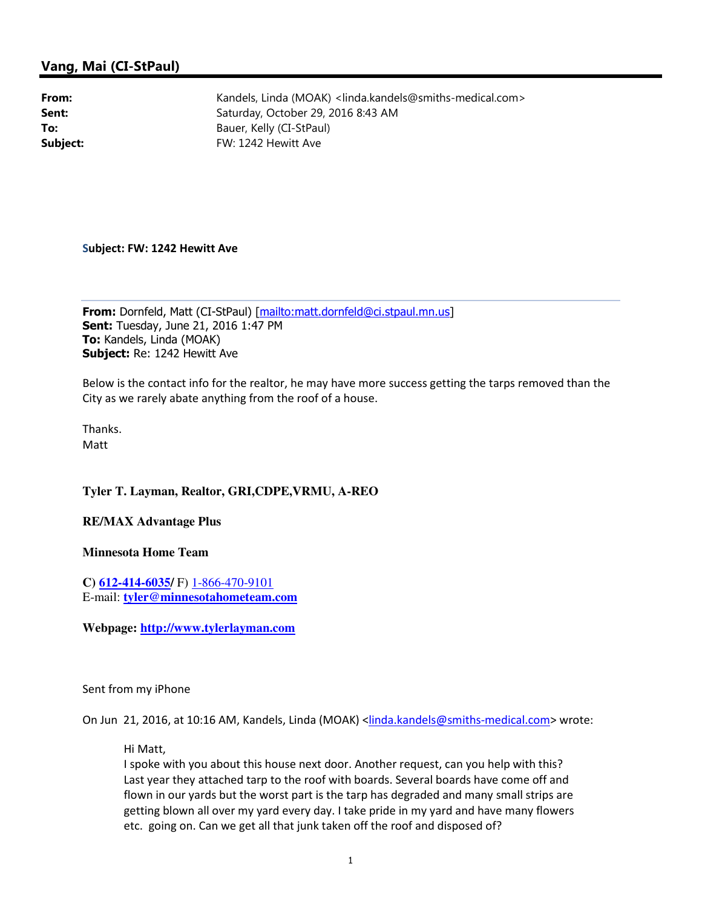## Vang, Mai (CI-StPaul)

From: Kandels, Linda (MOAK) <linda.kandels@smiths-medical.com> Sent: Saturday, October 29, 2016 8:43 AM To: Bauer, Kelly (CI-StPaul) Subject: FW: 1242 Hewitt Ave

## Subject: FW: 1242 Hewitt Ave

From: Dornfeld, Matt (CI-StPaul) [mailto:matt.dornfeld@ci.stpaul.mn.us] **Sent: Tuesday, June 21, 2016 1:47 PM** To: Kandels, Linda (MOAK) Subject: Re: 1242 Hewitt Ave

Below is the contact info for the realtor, he may have more success getting the tarps removed than the City as we rarely abate anything from the roof of a house.

Thanks. Matt

## **Tyler T. Layman, Realtor, GRI,CDPE,VRMU, A-REO**

## **RE/MAX Advantage Plus**

**Minnesota Home Team**

**C) 612-414-6035/** F) 1-866-470-9101 E-mail: **tyler@minnesotahometeam.com**

**Webpage: http://www.tylerlayman.com**

Sent from my iPhone

On Jun 21, 2016, at 10:16 AM, Kandels, Linda (MOAK) <linda.kandels@smiths-medical.com> wrote:

Hi Matt,

I spoke with you about this house next door. Another request, can you help with this? Last year they attached tarp to the roof with boards. Several boards have come off and flown in our yards but the worst part is the tarp has degraded and many small strips are getting blown all over my yard every day. I take pride in my yard and have many flowers etc. going on. Can we get all that junk taken off the roof and disposed of?